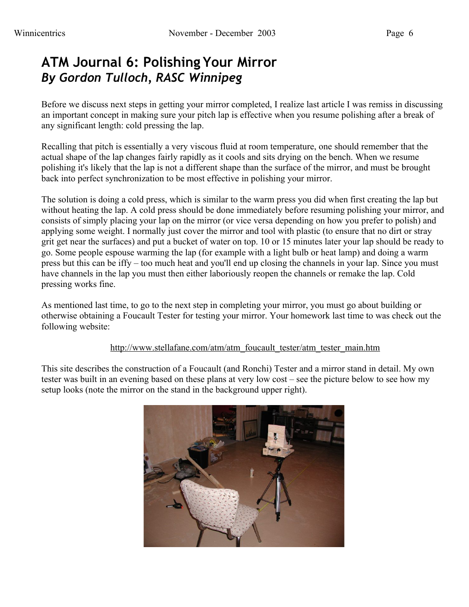# **ATM Journal 6: Polishing Your Mirror** *By Gordon Tulloch, RASC Winnipeg*

Before we discuss next steps in getting your mirror completed, I realize last article I was remiss in discussing an important concept in making sure your pitch lap is effective when you resume polishing after a break of any significant length: cold pressing the lap.

Recalling that pitch is essentially a very viscous fluid at room temperature, one should remember that the actual shape of the lap changes fairly rapidly as it cools and sits drying on the bench. When we resume polishing it's likely that the lap is not a different shape than the surface of the mirror, and must be brought back into perfect synchronization to be most effective in polishing your mirror.

The solution is doing a cold press, which is similar to the warm press you did when first creating the lap but without heating the lap. A cold press should be done immediately before resuming polishing your mirror, and consists of simply placing your lap on the mirror (or vice versa depending on how you prefer to polish) and applying some weight. I normally just cover the mirror and tool with plastic (to ensure that no dirt or stray grit get near the surfaces) and put a bucket of water on top. 10 or 15 minutes later your lap should be ready to go. Some people espouse warming the lap (for example with a light bulb or heat lamp) and doing a warm press but this can be iffy – too much heat and you'll end up closing the channels in your lap. Since you must have channels in the lap you must then either laboriously reopen the channels or remake the lap. Cold pressing works fine.

As mentioned last time, to go to the next step in completing your mirror, you must go about building or otherwise obtaining a Foucault Tester for testing your mirror. Your homework last time to was check out the following website:

# [http://www.stellafane.com/atm/atm\\_foucault\\_tester/atm\\_tester\\_main.htm](http://www.stellafane.com/atm/atm_foucault_tester/atm_tester_main.htm)

This site describes the construction of a Foucault (and Ronchi) Tester and a mirror stand in detail. My own tester was built in an evening based on these plans at very low cost – see the picture below to see how my setup looks (note the mirror on the stand in the background upper right).

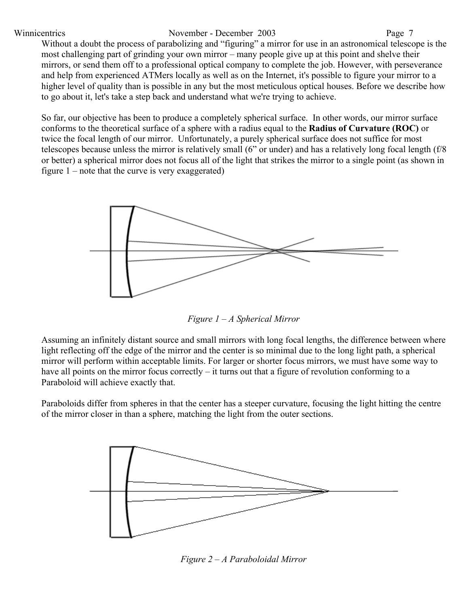### Winnicentrics November - December 2003 Page 7

Without a doubt the process of parabolizing and "figuring" a mirror for use in an astronomical telescope is the most challenging part of grinding your own mirror – many people give up at this point and shelve their mirrors, or send them off to a professional optical company to complete the job. However, with perseverance and help from experienced ATMers locally as well as on the Internet, it's possible to figure your mirror to a higher level of quality than is possible in any but the most meticulous optical houses. Before we describe how to go about it, let's take a step back and understand what we're trying to achieve.

So far, our objective has been to produce a completely spherical surface. In other words, our mirror surface conforms to the theoretical surface of a sphere with a radius equal to the **Radius of Curvature (ROC)** or twice the focal length of our mirror. Unfortunately, a purely spherical surface does not suffice for most telescopes because unless the mirror is relatively small (6" or under) and has a relatively long focal length (f/8 or better) a spherical mirror does not focus all of the light that strikes the mirror to a single point (as shown in figure  $1$  – note that the curve is very exaggerated)



*Figure 1 – A Spherical Mirror*

Assuming an infinitely distant source and small mirrors with long focal lengths, the difference between where light reflecting off the edge of the mirror and the center is so minimal due to the long light path, a spherical mirror will perform within acceptable limits. For larger or shorter focus mirrors, we must have some way to have all points on the mirror focus correctly – it turns out that a figure of revolution conforming to a Paraboloid will achieve exactly that.

Paraboloids differ from spheres in that the center has a steeper curvature, focusing the light hitting the centre of the mirror closer in than a sphere, matching the light from the outer sections.



*Figure 2 – A Paraboloidal Mirror*